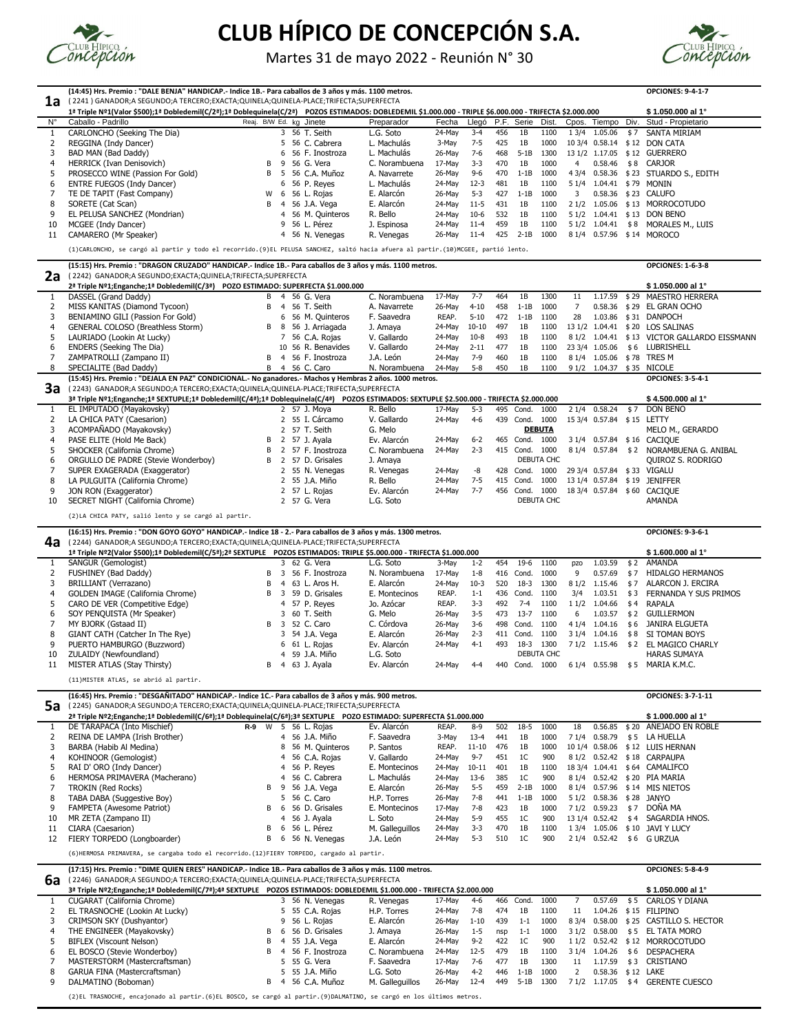|                          | (14:45) Hrs. Premio : "DALE BENJA" HANDICAP.- Indice 1B.- Para caballos de 3 años y más. 1100 metros.                                                    |    |                         |                                 |                            |                  |                    |            |                             |                |                |                     |            | <b>OPCIONES: 9-4-1-7</b>                                    |
|--------------------------|----------------------------------------------------------------------------------------------------------------------------------------------------------|----|-------------------------|---------------------------------|----------------------------|------------------|--------------------|------------|-----------------------------|----------------|----------------|---------------------|------------|-------------------------------------------------------------|
| 1a                       | (2241) GANADOR;A SEGUNDO;A TERCERO;EXACTA;QUINELA;QUINELA-PLACE;TRIFECTA;SUPERFECTA                                                                      |    |                         |                                 |                            |                  |                    |            |                             |                |                |                     |            |                                                             |
|                          | 1ª Triple Nº1(Valor \$500);1ª Dobledemil(C/2ª);1ª Doblequinela(C/2ª) POZOS ESTIMADOS: DOBLEDEMIL \$1.000.000 - TRIPLE \$6.000.000 - TRIFECTA \$2.000.000 |    |                         |                                 |                            |                  |                    |            |                             |                |                |                     |            | \$1.050.000 al 1°                                           |
| $N^{\circ}$              | Caballo - Padrillo                                                                                                                                       |    |                         | Reaj. B/W Ed. kg Jinete         | Preparador                 | Fecha            | Llegó              |            | P.F. Serie                  | Dist.          |                | Cpos. Tiempo        | Div.       | Stud - Propietario                                          |
| -1                       | CARLONCHO (Seeking The Dia)                                                                                                                              |    |                         | 3 56 T. Seith                   | L.G. Soto                  | 24-May           | $3 - 4$            | 456        | 1B                          | 1100           |                | 1 3/4 1.05.06       | \$7        | <b>SANTA MIRIAM</b>                                         |
| -2                       | REGGINA (Indy Dancer)                                                                                                                                    |    | 5                       | 56 C. Cabrera                   | L. Machulás                | 3-May            | $7 - 5$            | 425        | 1B                          | 1000           |                | 10 3/4 0.58.14      |            | \$12 DON CATA                                               |
| 3                        | BAD MAN (Bad Daddy)                                                                                                                                      |    | 6                       | 56 F. Inostroza                 | L. Machulás                | 26-May           | $7-6$              | 468        | $5-1B$                      | 1300           |                | 13 1/2 1.17.05      |            | \$12 GUERRERO                                               |
| $\overline{\mathcal{L}}$ | HERRICK (Ivan Denisovich)                                                                                                                                | B  | 9                       | 56 G. Vera                      | C. Norambuena              | 17-May           | $3 - 3$            | 470        | 1B                          | 1000           | $\overline{4}$ | 0.58.46             | \$8        | <b>CARJOR</b>                                               |
| 5                        | PROSECCO WINE (Passion For Gold)                                                                                                                         | B  | -5                      | 56 C.A. Muñoz                   | A. Navarrete               | 26-May           | $9 - 6$            | 470        | $1-1B$                      | 1000           | 43/4           |                     |            | 0.58.36 \$23 STUARDO S., EDITH                              |
| 6                        | <b>ENTRE FUEGOS (Indy Dancer)</b>                                                                                                                        |    | 6                       | 56 P. Reyes                     | L. Machulás                | 24-May           | $12-3$             | 481        | 1B                          | 1100           | 51/4           | $1.04.41 \div 79$   |            | MONIN                                                       |
|                          | TE DE TAPIT (Fast Company)                                                                                                                               | W  | 6<br>-4                 | 56 L. Rojas                     | E. Alarcón                 | 26-May           | $5 - 3$            | 427        | $1 - 1B$                    | 1000           | 3              |                     |            | 0.58.36 \$23 CALUFO                                         |
| 9                        | SORETE (Cat Scan)<br>EL PELUSA SANCHEZ (Mondrian)                                                                                                        | B  | 4                       | 56 J.A. Vega<br>56 M. Quinteros | E. Alarcón<br>R. Bello     | 24-May<br>24-May | $11 - 5$<br>$10-6$ | 431<br>532 | 1B<br>1B                    | 1100<br>1100   | 21/2           | 1.05.06             |            | \$13 MORROCOTUDO<br>5 1/2 1.04.41 \$13 DON BENO             |
| 10                       | MCGEE (Indy Dancer)                                                                                                                                      |    | 9.                      | 56 L. Pérez                     | J. Espinosa                | 24-May           | $11-4$             | 459        | 1B                          | 1100           |                | $51/2$ 1.04.41 \$8  |            | MORALES M., LUIS                                            |
| 11                       | CAMARERO (Mr Speaker)                                                                                                                                    |    | $\overline{4}$          | 56 N. Venegas                   | R. Venegas                 | 26-May           | $11 - 4$           | 425        | $2 - 1B$                    | 1000           |                |                     |            | 8 1/4 0.57.96 \$14 MOROCO                                   |
|                          |                                                                                                                                                          |    |                         |                                 |                            |                  |                    |            |                             |                |                |                     |            |                                                             |
|                          | (1)CARLONCHO, se cargó al partir y todo el recorrido.(9)EL PELUSA SANCHEZ, saltó hacia afuera al partir.(10)MCGEE, partió lento.                         |    |                         |                                 |                            |                  |                    |            |                             |                |                |                     |            |                                                             |
|                          | (15:15) Hrs. Premio : "DRAGON CRUZADO" HANDICAP.- Indice 1B.- Para caballos de 3 años y más. 1100 metros.                                                |    |                         |                                 |                            |                  |                    |            |                             |                |                |                     |            | <b>OPCIONES: 1-6-3-8</b>                                    |
| 2a                       | (2242) GANADOR; A SEGUNDO; EXACTA; QUINELA; TRIFECTA; SUPERFECTA<br>2ª Triple Nº1;Enganche;1ª Dobledemil(C/3ª) POZO ESTIMADO: SUPERFECTA \$1.000.000     |    |                         |                                 |                            |                  |                    |            |                             |                |                |                     |            | \$1.050.000 al 1°                                           |
|                          | DASSEL (Grand Daddy)                                                                                                                                     |    | B 4                     | 56 G. Vera                      | C. Norambuena              | 17-May           | $7 - 7$            | 464        | 1B                          | 1300           | 11             | 1.17.59             | \$29       | <b>MAESTRO HERRERA</b>                                      |
| $\overline{2}$           | MISS KANITAS (Diamond Tycoon)                                                                                                                            | B  | -4                      | 56 T. Seith                     | A. Navarrete               | 26-May           | $4 - 10$           | 458        | $1-1B$                      | 1000           | 7              | $0.58.36 \quad $29$ |            | EL GRAN OCHO                                                |
| 3                        | BENIAMINO GILI (Passion For Gold)                                                                                                                        |    | 6.                      | 56 M. Quinteros                 | F. Saavedra                | REAP.            | $5 - 10$           | 472        | $1-1B$                      | 1100           | 28             |                     |            | 1.03.86 \$31 DANPOCH                                        |
| $\overline{\mathcal{L}}$ | GENERAL COLOSO (Breathless Storm)                                                                                                                        | B  | 8                       | 56 J. Arriagada                 | J. Amaya                   | 24-May           | $10 - 10$          | 497        | 1B                          | 1100           |                |                     |            | 13 1/2 1.04.41 \$20 LOS SALINAS                             |
|                          | LAURIADO (Lookin At Lucky)                                                                                                                               |    | 7                       | 56 C.A. Rojas                   | V. Gallardo                | 24-May           | $10 - 8$           | 493        | 1B                          | 1100           |                |                     |            | 8 1/2 1.04.41 \$13 VICTOR GALLARDO EISSMANN                 |
|                          | ENDERS (Seeking The Dia)                                                                                                                                 |    |                         | 10 56 R. Benavides              | V. Gallardo                | 24-May           | $2 - 11$           | 477        | 1B                          | 1100           |                | 23 3/4 1.05.06      |            | \$6 LUBRISHELL                                              |
|                          | ZAMPATROLLI (Zampano II)                                                                                                                                 | B. | -4                      | 56 F. Inostroza                 | J.A. León                  | 24-May           | $7-9$              | 460        | 1B                          | 1100           |                |                     |            | 8 1/4 1.05.06 \$78 TRES M                                   |
|                          | SPECIALITE (Bad Daddy)                                                                                                                                   |    |                         | B 4 56 C. Caro                  | N. Norambuena              | 24-May           | $5 - 8$            | 450        | 1B                          | 1100           |                |                     |            | 9 1/2 1.04.37 \$35 NICOLE                                   |
|                          | (15:45) Hrs. Premio : "DEJALA EN PAZ" CONDICIONAL.- No ganadores.- Machos y Hembras 2 años. 1000 metros.                                                 |    |                         |                                 |                            |                  |                    |            |                             |                |                |                     |            | <b>OPCIONES: 3-5-4-1</b>                                    |
|                          |                                                                                                                                                          |    |                         |                                 |                            |                  |                    |            |                             |                |                |                     |            |                                                             |
| 3a                       | (2243) GANADOR;A SEGUNDO;A TERCERO;EXACTA;QUINELA;QUINELA-PLACE;TRIFECTA;SUPERFECTA                                                                      |    |                         |                                 |                            |                  |                    |            |                             |                |                |                     |            |                                                             |
|                          | 3ª Triple Nº1;Enganche;1ª SEXTUPLE;1ª Dobledemil(C/4ª);1ª Doblequinela(C/4ª) POZOS ESTIMADOS: SEXTUPLE \$2.500.000 - TRIFECTA \$2.000.000                |    |                         |                                 |                            |                  |                    |            |                             |                |                |                     |            | \$4.500.000 al 1°                                           |
| -1                       | EL IMPUTADO (Mayakovsky)                                                                                                                                 |    |                         | 2 57 J. Moya                    | R. Bello                   | 17-May           | $5-3$              |            | 495 Cond.                   | 1000           |                | 2 1/4 0.58.24       | \$7        | <b>DON BENO</b>                                             |
|                          | LA CHICA PATY (Caesarion)                                                                                                                                |    | 2                       | 55 I. Cárcamo                   | V. Gallardo                | 24-May           | 4-6                |            | 439 Cond.                   | 1000           |                | 15 3/4 0.57.84 \$15 |            | LETTY                                                       |
| 3                        | ACOMPAÑADO (Mayakovsky)                                                                                                                                  |    |                         | 2 57 T. Seith                   | G. Melo                    |                  |                    |            |                             | <b>DEBUTA</b>  |                |                     |            | MELO M., GERARDO                                            |
| 4                        | PASE ELITE (Hold Me Back)                                                                                                                                | B  |                         | 2 57 J. Ayala                   | Ev. Alarcón                | 24-May           | $6 - 2$            | 465        | Cond.                       | 1000           |                |                     |            | 3 1/4 0.57.84 \$16 CACIQUE                                  |
| -5                       | SHOCKER (California Chrome)                                                                                                                              |    | 2                       | 57 F. Inostroza                 | C. Norambuena              | 24-May           | $2 - 3$            |            | 415 Cond. 1000              |                |                |                     |            | 8 1/4 0.57.84 \$2 NORAMBUENA G. ANIBAL                      |
| 6                        | ORGULLO DE PADRE (Stevie Wonderboy)                                                                                                                      | B  |                         | 2 57 D. Grisales                | J. Amaya                   |                  |                    |            |                             | DEBUTA CHC     |                |                     |            | QUIROZ S. RODRIGO                                           |
|                          | SUPER EXAGERADA (Exaggerator)                                                                                                                            |    |                         | 2 55 N. Venegas                 | R. Venegas                 | 24-May           | -8                 |            |                             | 428 Cond. 1000 |                |                     |            | 29 3/4 0.57.84 \$33 VIGALU                                  |
| -9                       | LA PULGUITA (California Chrome)                                                                                                                          |    |                         | 2 55 J.A. Miño<br>2 57 L. Rojas | R. Bello<br>Ev. Alarcón    | 24-May<br>24-May | $7 - 5$<br>$7 - 7$ |            | 415 Cond.<br>456 Cond. 1000 | 1000           |                |                     |            | 13 1/4 0.57.84 \$19 JENIFFER<br>18 3/4 0.57.84 \$60 CACIQUE |
| 10                       | JON RON (Exaggerator)<br>SECRET NIGHT (California Chrome)                                                                                                |    |                         | 2 57 G. Vera                    | L.G. Soto                  |                  |                    |            |                             | DEBUTA CHC     |                |                     |            | <b>AMANDA</b>                                               |
|                          |                                                                                                                                                          |    |                         |                                 |                            |                  |                    |            |                             |                |                |                     |            |                                                             |
|                          | (2)LA CHICA PATY, salió lento y se cargó al partir.                                                                                                      |    |                         |                                 |                            |                  |                    |            |                             |                |                |                     |            |                                                             |
|                          | (16:15) Hrs. Premio : "DON GOYO GOYO" HANDICAP.- Indice 18 - 2.- Para caballos de 3 años y más. 1300 metros.                                             |    |                         |                                 |                            |                  |                    |            |                             |                |                |                     |            | <b>OPCIONES: 9-3-6-1</b>                                    |
| 4a                       | (2244) GANADOR;A SEGUNDO;A TERCERO;EXACTA;QUINELA;QUINELA-PLACE;TRIFECTA;SUPERFECTA                                                                      |    |                         |                                 |                            |                  |                    |            |                             |                |                |                     |            |                                                             |
| -1                       | 1ª Triple Nº2(Valor \$500);1ª Dobledemil(C/5ª);2ª SEXTUPLE POZOS ESTIMADOS: TRIPLE \$5.000.000 - TRIFECTA \$1.000.000                                    |    |                         |                                 |                            |                  |                    |            |                             |                |                |                     |            | \$1.600.000 al 1°<br><b>AMANDA</b>                          |
| 2                        | SANGUR (Gemologist)<br>FUSHINEY (Bad Daddy)                                                                                                              | B  | -3                      | 3 62 G. Vera<br>56 F. Inostroza | L.G. Soto<br>N. Norambuena | 3-May<br>17-May  | $1 - 2$<br>$1 - 8$ | 454        | $19-6$<br>416 Cond.         | 1100<br>1000   | pzo<br>9       | 1.03.59<br>0.57.69  | \$2<br>\$7 | <b>HIDALGO HERMANOS</b>                                     |
|                          | <b>BRILLIANT (Verrazano)</b>                                                                                                                             | B  | -4                      | 63 L. Aros H.                   | E. Alarcón                 | 24-May           | $10-3$             | 520        | $18-3$                      | 1300           |                | 8 1/2 1.15.46       | \$7        | <b>ALARCON J. ERCIRA</b>                                    |
| 4                        | <b>GOLDEN IMAGE (California Chrome)</b>                                                                                                                  | В  | $\overline{\mathbf{3}}$ | 59 D. Grisales                  | E. Montecinos              | REAP.            | $1 - 1$            |            | 436 Cond.                   | 1100           | 3/4            | 1.03.51             | \$3        | FERNANDA Y SUS PRIMOS                                       |
|                          | CARO DE VER (Competitive Edge)                                                                                                                           |    | 4                       | 57 P. Reyes                     | Jo. Azócar                 | REAP.            | $3 - 3$            | 492        | $7 - 4$                     | 1100           | 11/2           | 1.04.66             | \$4        | <b>RAPALA</b>                                               |
|                          | SOY PENQUISTA (Mr Speaker)                                                                                                                               |    | 3.                      | 60 T. Seith                     | G. Melo                    | 26-May           | $3 - 5$            | 473        | $13-7$                      | 1100           | 6              | 1.03.57             | \$2        | <b>GUILLERMON</b>                                           |
|                          | MY BJORK (Gstaad II)                                                                                                                                     | В  |                         | 3 52 C. Caro                    | C. Córdova                 | 26-May           | $3-6$              | 498        | Cond.                       | 1100           |                | 4 1/4 1.04.16       | \$6        | JANIRA ELGUETA                                              |
| -8                       | GIANT CATH (Catcher In The Rye)                                                                                                                          |    | 3                       | 54 J.A. Vega                    | E. Alarcón                 | 26-May           | $2 - 3$            |            | 411 Cond.                   | 1100           |                | 3 1/4 1.04.16       | \$8        | SI TOMAN BOYS                                               |
| 9                        | PUERTO HAMBURGO (Buzzword)                                                                                                                               |    | 6.                      | 61 L. Rojas                     | Ev. Alarcón                | 24-May           | $4 - 1$            | 493        |                             | 18-3 1300      |                | 7 1/2 1.15.46       | \$2        | EL MAGICO CHARLY                                            |
| 10                       | ZULAIDY (Newfoundland)                                                                                                                                   |    | 4                       | 59 J.A. Miño                    | L.G. Soto                  |                  |                    |            |                             | DEBUTA CHC     |                |                     |            | <b>HARAS SUMAYA</b>                                         |
| 11                       | MISTER ATLAS (Stay Thirsty)                                                                                                                              | B  | -4                      | 63 J. Ayala                     | Ev. Alarcón                | 24-May           | 4-4                |            | 440 Cond. 1000              |                |                | 6 1/4 0.55.98       | \$5        | MARIA K.M.C.                                                |

**(16:45) Hrs. Premio : "DESGAÑITADO" HANDICAP.- Indice 1C.- Para caballos de 3 años y más. 900 metros. OPCIONES: 3-7-1-11**

|    | 2ª Triple Nº2;Enganche;1ª Dobledemil(C/6ª);1ª Doblequinela(C/6ª);3ª SEXTUPLE POZO ESTIMADO: SUPERFECTA \$1.000.000 |     |   |     |                   |                 |        |           |     |        |      |       |                     |       | $$1.000.000$ al 1°            |
|----|--------------------------------------------------------------------------------------------------------------------|-----|---|-----|-------------------|-----------------|--------|-----------|-----|--------|------|-------|---------------------|-------|-------------------------------|
|    | DE TARAPACA (Into Mischief)                                                                                        | R-9 | W |     | 5 56 L. Rojas     | Ev. Alarcón     | REAP.  | 8-9       | 502 | 18-5   | 1000 | 18    | 0.56.85             | \$ 20 | ANEJADO EN ROBLE              |
| 2  | REINA DE LAMPA (Irish Brother)                                                                                     |     |   |     | 4 56 J.A. Miño    | F. Saavedra     | 3-May  | $13 - 4$  | 441 | 1B     | 1000 | 7 1/4 | 0.58.79             | \$5   | LA HUELLA                     |
| 3  | BARBA (Habib Al Medina)                                                                                            |     |   |     | 8 56 M. Quinteros | P. Santos       | REAP.  | 11-10     | 476 | 1B     | 1000 |       | 10 1/4 0.58.06      |       | \$12 LUIS HERNAN              |
| 4  | KOHINOOR (Gemologist)                                                                                              |     |   |     | 4 56 C.A. Rojas   | V. Gallardo     | 24-May | $9 - 7$   | 451 | 1C     | 900  | 8 1/2 |                     |       | 0.52.42 \$18 CARPAUPA         |
| 5  | RAI D' ORO (Indy Dancer)                                                                                           |     |   |     | 4 56 P. Reyes     | E. Montecinos   | 24-Mav | $10 - 11$ | 401 | 1B     | 1100 |       |                     |       | 18 3/4 1.04.41 \$64 CAMALIFCO |
| 6  | HERMOSA PRIMAVERA (Macherano)                                                                                      |     |   |     | 4 56 C. Cabrera   | L. Machulás     | 24-Mav | $13-6$    | 385 | 1C     | 900  | 81/4  |                     |       | 0.52.42 \$20 PIA MARIA        |
|    | <b>TROKIN (Red Rocks)</b>                                                                                          |     | B | -9  | 56 J.A. Vega      | E. Alarcón      | 26-May | $5 - 5$   | 459 | $2-1B$ | 1000 | 81/4  |                     |       | 0.57.96 \$14 MIS NIETOS       |
| 8  | TABA DABA (Suggestive Boy)                                                                                         |     |   |     | 5 56 C. Caro      | H.P. Torres     | 26-Mav | 7-8       | 441 | $1-1B$ | 1000 | 51/2  | $0.58.36 \quad $28$ |       | JANYO                         |
| 9  | FAMPETA (Awesome Patriot)                                                                                          |     |   | B 6 | 56 D. Grisales    | E. Montecinos   | 17-Mav | 7-8       | 423 | 1B     | 1000 | 7 1/2 | 0.59.23             | \$7   | DOÑA MA                       |
| 10 | MR ZETA (Zampano II)                                                                                               |     |   |     | 4 56 J. Ayala     | L. Soto         | 24-May | $5-9$     | 455 | 1C     | 900  |       | 13 1/4 0.52.42      | \$4   | SAGARDIA HNOS.                |
| 11 | CIARA (Caesarion)                                                                                                  |     |   | B 6 | 56 L. Pérez       | M. Galleguillos | 24-May | $3 - 3$   | 470 | 1B     | 1100 | 1 3/4 | 1.05.06             | \$10  | JAVI Y LUCY                   |
| 12 | FIERY TORPEDO (Longboarder)                                                                                        |     | B | - 6 | 56 N. Venegas     | J.A. León       | 24-May | $5 - 3$   | 510 | 1C     | 900  | 21/4  | 0.52.42             |       | \$6 G URZUA                   |

( 2245) GANADOR;A SEGUNDO;A TERCERO;EXACTA;QUINELA;QUINELA-PLACE;TRIFECTA;SUPERFECTA **5a**

| 6а | (17:15) Hrs. Premio : "DIME QUIEN ERES" HANDICAP.- Indice 1B.- Para caballos de 3 años y más. 1100 metros.            |     |    |                 |                 |        |          |     |                |      |       |                   |     | <b>OPCIONES: 5-8-4-9</b> |
|----|-----------------------------------------------------------------------------------------------------------------------|-----|----|-----------------|-----------------|--------|----------|-----|----------------|------|-------|-------------------|-----|--------------------------|
|    | 2246) GANADOR;A SEGUNDO;A TERCERO;EXACTA;QUINELA;QUINELA-PLACE;TRIFECTA;SUPERFECTA)                                   |     |    |                 |                 |        |          |     |                |      |       |                   |     |                          |
|    | 3ª Triple Nº2;Enganche;1ª Dobledemil(C/7ª);4ª SEXTUPLE POZOS ESTIMADOS: DOBLEDEMIL \$1.000.000 - TRIFECTA \$2.000.000 |     |    |                 |                 |        |          |     |                |      |       |                   |     | \$1.050.000 al 1°        |
|    | <b>CUGARAT (California Chrome)</b>                                                                                    |     |    | 3 56 N. Venegas | R. Venegas      | 17-May | 4-6      | 466 | Cond.          | 1000 |       | 0.57.69           | \$5 | <b>CARLOS Y DIANA</b>    |
| 2  | EL TRASNOCHE (Lookin At Lucky)                                                                                        |     |    | 5 55 C.A. Rojas | H.P. Torres     | 24-May | $7-8$    | 474 | 1B             | 1100 | 11    |                   |     | 1.04.26 \$15 FILIPINO    |
| 3  | CRIMSON SKY (Dushyantor)                                                                                              |     |    | 9 56 L. Rojas   | E. Alarcón      | 26-May | $1 - 10$ | 439 | $1 - 1$        | 1000 | 8 3/4 | 0.58.00           |     | \$25 CASTILLO S. HECTOR  |
| 4  | THE ENGINEER (Mayakovsky)                                                                                             | B 6 |    | 56 D. Grisales  | J. Amaya        | 26-May | $1 - 5$  | nsp | $1 - 1$        | 1000 | 31/2  | 0.58.00           |     | \$5 EL TATA MORO         |
| 5  | <b>BIFLEX (Viscount Nelson)</b>                                                                                       | B   | -4 | 55 J.A. Vega    | E. Alarcón      | 24-May | $9 - 2$  | 422 | 1 <sup>C</sup> | 900  | l 1/2 |                   |     | 0.52.42 \$12 MORROCOTUDO |
| 6  | EL BOSCO (Stevie Wonderboy)                                                                                           |     |    | 56 F. Inostroza | C. Norambuena   | 24-May | $12 - 5$ | 479 | 1B             | 1100 | 31/4  | 1.04.26           | \$6 | <b>DESPACHERA</b>        |
|    | MASTERSTORM (Mastercraftsman)                                                                                         |     |    | 5 55 G. Vera    | F. Saavedra     | 17-Mav | $7-6$    | 477 | 1B             | 1300 | 11    | 1.17.59           | \$3 | CRISTIANO                |
| 8  | GARUA FINA (Mastercraftsman)                                                                                          |     |    | 5 55 J.A. Miño  | L.G. Soto       | 26-May | $4 - 2$  | 446 | $1-1B$         | 1000 |       | 0.58.36 \$12 LAKE |     |                          |
| 9  | DALMATINO (Boboman)                                                                                                   |     |    | 56 C.A. Muñoz   | M. Galleguillos | 26-May | 12-4     | 449 | $5-1B$         | 1300 | 7 1/2 | 1.17.05           | \$4 | <b>GERENTE CUESCO</b>    |



## **CLUB HÍPICO DE CONCEPCIÓN S.A.**

Martes 31 de mayo 2022 - Reunión N° 30



(6)HERMOSA PRIMAVERA, se cargaba todo el recorrido.(12)FIERY TORPEDO, cargado al partir.

(2)EL TRASNOCHE, encajonado al partir.(6)EL BOSCO, se cargó al partir.(9)DALMATINO, se cargó en los últimos metros.